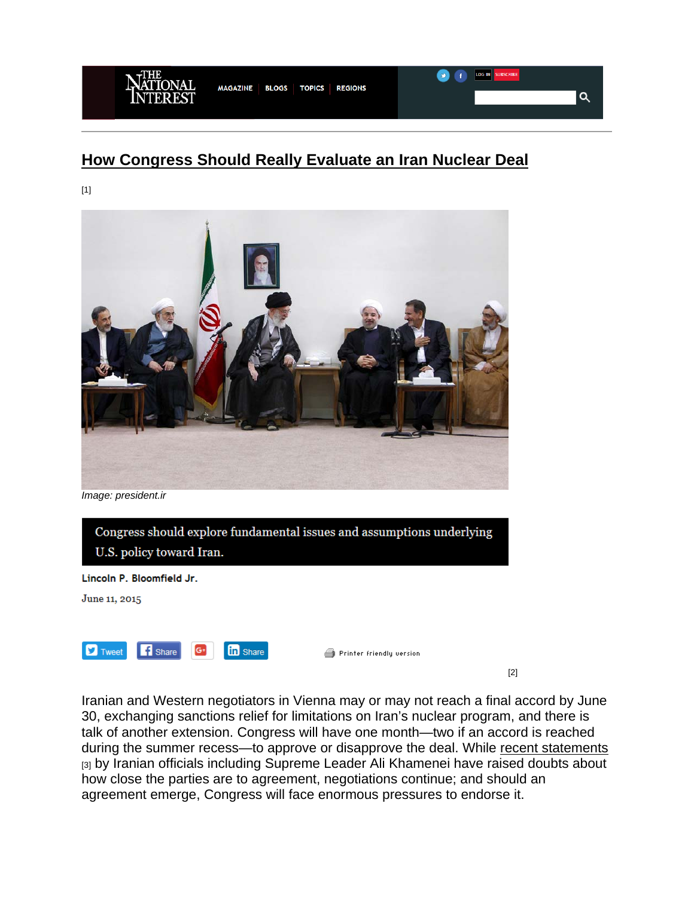

## **How Congress Should Really Evaluate an Iran Nuclear Deal**

[1]



*Image: president.ir*



Iranian and Western negotiators in Vienna may or may not reach a final accord by June 30, exchanging sanctions relief for limitations on Iran's nuclear program, and there is talk of another extension. Congress will have one month—two if an accord is reached during the summer recess—to approve or disapprove the deal. While recent statements [3] by Iranian officials including Supreme Leader Ali Khamenei have raised doubts about how close the parties are to agreement, negotiations continue; and should an agreement emerge, Congress will face enormous pressures to endorse it.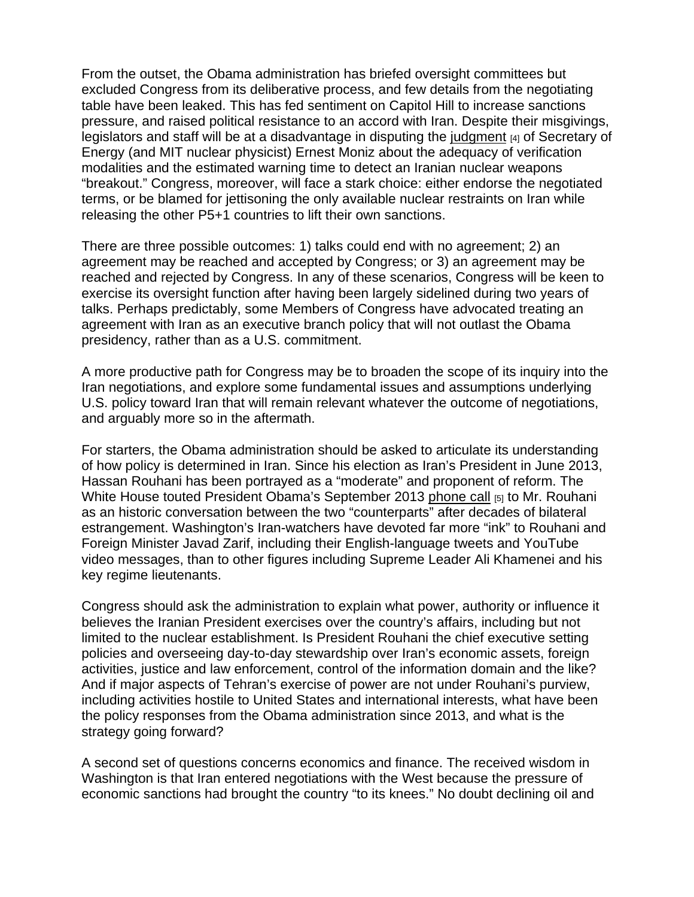From the outset, the Obama administration has briefed oversight committees but excluded Congress from its deliberative process, and few details from the negotiating table have been leaked. This has fed sentiment on Capitol Hill to increase sanctions pressure, and raised political resistance to an accord with Iran. Despite their misgivings, legislators and staff will be at a disadvantage in disputing the judgment [4] of Secretary of Energy (and MIT nuclear physicist) Ernest Moniz about the adequacy of verification modalities and the estimated warning time to detect an Iranian nuclear weapons "breakout." Congress, moreover, will face a stark choice: either endorse the negotiated terms, or be blamed for jettisoning the only available nuclear restraints on Iran while releasing the other P5+1 countries to lift their own sanctions.

There are three possible outcomes: 1) talks could end with no agreement; 2) an agreement may be reached and accepted by Congress; or 3) an agreement may be reached and rejected by Congress. In any of these scenarios, Congress will be keen to exercise its oversight function after having been largely sidelined during two years of talks. Perhaps predictably, some Members of Congress have advocated treating an agreement with Iran as an executive branch policy that will not outlast the Obama presidency, rather than as a U.S. commitment.

A more productive path for Congress may be to broaden the scope of its inquiry into the Iran negotiations, and explore some fundamental issues and assumptions underlying U.S. policy toward Iran that will remain relevant whatever the outcome of negotiations, and arguably more so in the aftermath.

For starters, the Obama administration should be asked to articulate its understanding of how policy is determined in Iran. Since his election as Iran's President in June 2013, Hassan Rouhani has been portrayed as a "moderate" and proponent of reform. The White House touted President Obama's September 2013 phone call [5] to Mr. Rouhani as an historic conversation between the two "counterparts" after decades of bilateral estrangement. Washington's Iran-watchers have devoted far more "ink" to Rouhani and Foreign Minister Javad Zarif, including their English-language tweets and YouTube video messages, than to other figures including Supreme Leader Ali Khamenei and his key regime lieutenants.

Congress should ask the administration to explain what power, authority or influence it believes the Iranian President exercises over the country's affairs, including but not limited to the nuclear establishment. Is President Rouhani the chief executive setting policies and overseeing day-to-day stewardship over Iran's economic assets, foreign activities, justice and law enforcement, control of the information domain and the like? And if major aspects of Tehran's exercise of power are not under Rouhani's purview, including activities hostile to United States and international interests, what have been the policy responses from the Obama administration since 2013, and what is the strategy going forward?

A second set of questions concerns economics and finance. The received wisdom in Washington is that Iran entered negotiations with the West because the pressure of economic sanctions had brought the country "to its knees." No doubt declining oil and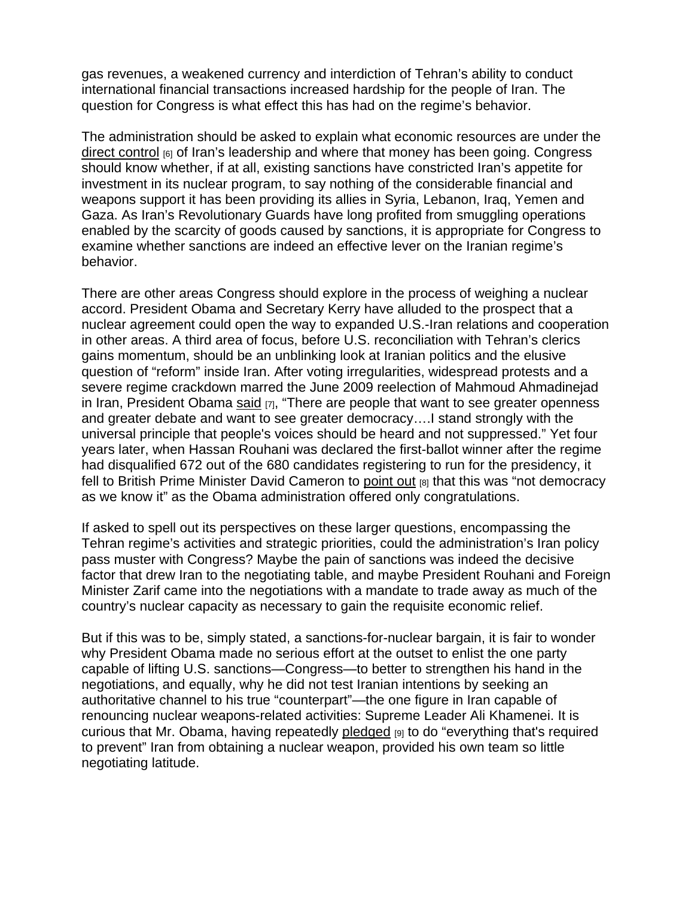gas revenues, a weakened currency and interdiction of Tehran's ability to conduct international financial transactions increased hardship for the people of Iran. The question for Congress is what effect this has had on the regime's behavior.

The administration should be asked to explain what economic resources are under the direct control [6] of Iran's leadership and where that money has been going. Congress should know whether, if at all, existing sanctions have constricted Iran's appetite for investment in its nuclear program, to say nothing of the considerable financial and weapons support it has been providing its allies in Syria, Lebanon, Iraq, Yemen and Gaza. As Iran's Revolutionary Guards have long profited from smuggling operations enabled by the scarcity of goods caused by sanctions, it is appropriate for Congress to examine whether sanctions are indeed an effective lever on the Iranian regime's behavior.

There are other areas Congress should explore in the process of weighing a nuclear accord. President Obama and Secretary Kerry have alluded to the prospect that a nuclear agreement could open the way to expanded U.S.-Iran relations and cooperation in other areas. A third area of focus, before U.S. reconciliation with Tehran's clerics gains momentum, should be an unblinking look at Iranian politics and the elusive question of "reform" inside Iran. After voting irregularities, widespread protests and a severe regime crackdown marred the June 2009 reelection of Mahmoud Ahmadinejad in Iran, President Obama said  $[7]$ , "There are people that want to see greater openness and greater debate and want to see greater democracy….I stand strongly with the universal principle that people's voices should be heard and not suppressed." Yet four years later, when Hassan Rouhani was declared the first-ballot winner after the regime had disqualified 672 out of the 680 candidates registering to run for the presidency, it fell to British Prime Minister David Cameron to point out [8] that this was "not democracy as we know it" as the Obama administration offered only congratulations.

If asked to spell out its perspectives on these larger questions, encompassing the Tehran regime's activities and strategic priorities, could the administration's Iran policy pass muster with Congress? Maybe the pain of sanctions was indeed the decisive factor that drew Iran to the negotiating table, and maybe President Rouhani and Foreign Minister Zarif came into the negotiations with a mandate to trade away as much of the country's nuclear capacity as necessary to gain the requisite economic relief.

But if this was to be, simply stated, a sanctions-for-nuclear bargain, it is fair to wonder why President Obama made no serious effort at the outset to enlist the one party capable of lifting U.S. sanctions—Congress—to better to strengthen his hand in the negotiations, and equally, why he did not test Iranian intentions by seeking an authoritative channel to his true "counterpart"—the one figure in Iran capable of renouncing nuclear weapons-related activities: Supreme Leader Ali Khamenei. It is curious that Mr. Obama, having repeatedly pledged [9] to do "everything that's required to prevent" Iran from obtaining a nuclear weapon, provided his own team so little negotiating latitude.